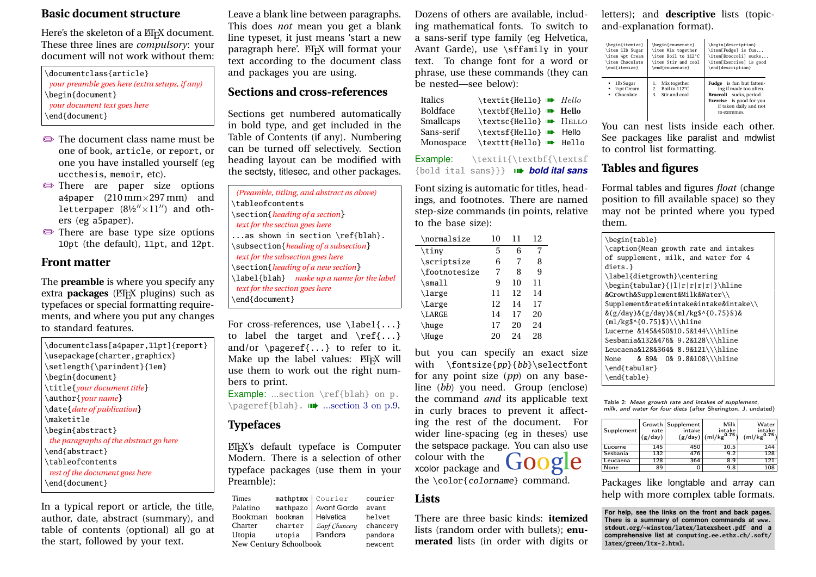#### **Basic document structure**

Here's the skeleton of a ETEX document. These three lines are *compulsory*: your document will not work without them:

| \documentclass{article}                        |
|------------------------------------------------|
| your preamble goes here (extra setups, if any) |
| \begin{document}                               |
| your document text goes here                   |
| \end{document}                                 |
|                                                |

- The document class name must be one of book, article, or report, or one you have installed yourself (eg uccthesis, memoir, etc).
- $\implies$  There are paper size options a4paper  $(210 \text{ mm} \times 297 \text{ mm})$  and letterpaper  $(8\frac{1}{2}x^{\prime\prime}\times11^{\prime\prime})$  and others (eg a5paper).
- $\bullet$  There are base type size options 10pt (the default), 11pt, and 12pt.

## **Front matter**

The **preamble** is where you specify any extra **packages** (*EI*<sub>E</sub>X plugins) such as typefaces or special formatting requirements, and where you put any changes to standard features.

\documentclass[a4paper,11pt]{report} \usepackage{charter,graphicx} \setlength{\parindent}{1em} \begin{document} \title{*your document title*} \author{*your name*} \date{*date of publication*} \maketitle \begin{abstract} *the paragraphs of the abstract go here* \end{abstract} \tableofcontents *rest of the document goes here* \end{document}

In a typical report or article, the title, author, date, abstract (summary), and table of contents (optional) all go at the start, followed by your text.

Leave a blank line between paragraphs. This does *not* mean you get a blank line typeset, it just means 'start a new paragraph here'. ETEX will format your text according to the document class and packages you are using.

## **Sections and cross-references**

Sections get numbered automatically in bold type, and get included in the Table of Contents (if any). Numbering can be turned off selectively. Section heading layout can be modified with the sectsty, titlesec, and other packages.

| (Preamble, titling, and abstract as above) |
|--------------------------------------------|
| \tableofcontents                           |
| \section{heading of a section}             |
| text for the section goes here             |
| as shown in section $\ref{blah}.$          |
| \subsection{heading of a subsection}       |
| text for the subsection goes here          |
| \section{heading of a new section}         |
| \label{blah} make up a name for the label  |
| text for the section goes here             |
| \end{document}                             |
|                                            |

For cross-references, use \label{...} to label the target and  $\ref{...}$ and/or  $\text{e.g.}$  to refer to it. Make up the label values: ETEX will use them to work out the right numbers to print.

Example: ...section \ref{blah} on p.  $\text{pageref{blah}.}$  ...section 3 on p.9.

# **Typefaces**

L<sup>A</sup>TEX's default typeface is Computer Modern. There is a selection of other typeface packages (use them in your Preamble):

Times mathptmx Courier courier Palatino mathpazo Avant Garde avant<br>Bookman bookman Helvetica helvet Bookman bookman Helvetica helvet Charter charter *Zapf Chancery* chancery utopia Pandora pandora New Century Schoolbook newcent

Dozens of others are available, including mathematical fonts. To switch to a sans-serif type family (eg Helvetica, Avant Garde), use \sffamily in your text. To change font for a word or phrase, use these commands (they can be nested—see below):

| <b>Italics</b>  | \textit{Hello} <b>III</b> Hello |  |
|-----------------|---------------------------------|--|
| <b>Boldface</b> | \textbf{Hello} <b>III</b> Hello |  |
| Smallcaps       | \textsc{Hello} W+ HELLO         |  |
| Sans-serif      | \textsf{Hello} <b>m</b> Hello   |  |
| Monospace       | \texttt{Hello} <b>III</b> Hello |  |

Example: \textit{\textbf{\textsf {bold ital sans}}} w *bold ital sans*

Font sizing is automatic for titles, headings, and footnotes. There are named step-size commands (in points, relative to the base size):

| \normalsize       | 10 | 11 | 12 |  |
|-------------------|----|----|----|--|
| $\{\text{tiny}\}$ | 5  | 6  | 7  |  |
| \scriptsize       | 6  | 7  | 8  |  |
| \footnotesize     | 7  | 8  | 9  |  |
| $\mathrm{\sim}11$ | 9  | 10 | 11 |  |
| \large            | 11 | 12 | 14 |  |
| \Large            | 12 | 14 | 17 |  |
| \LARGE            | 14 | 17 | 20 |  |
| \huge             | 17 | 20 | 24 |  |
| Huge              | 20 | 24 | 28 |  |

but you can specify an exact size with  $\frac{p}{b}$ {bb}\selectfont for any point size (*pp*) on any baseline (*bb*) you need. Group (enclose) the command *and* its applicable text in curly braces to prevent it affecting the rest of the document. For wider line-spacing (eg in theses) use the setspace package. You can also use colour with the xcolor package and the \color{colorname} command.

#### **Lists**

There are three basic kinds: **itemized** lists (random order with bullets); **enumerated** lists (in order with digits or letters); and **descriptive** lists (topicand-explanation format).

| \begin{itemize}<br>\item 11b Sugar<br>\item %pt Cream<br>\item Chocolate<br>\end{itemize} | \begin{enumerate}<br>\begin{description}<br>\item Mix together<br>\item[Fudge] is fun<br>\item Boil to 112°C<br>\item[Broccoli] sucks<br>\item[Exercise] is good<br>\item Stir and cool<br>\end{description}<br>\end{enumerate} |                                                                                                                                                                   |  |
|-------------------------------------------------------------------------------------------|---------------------------------------------------------------------------------------------------------------------------------------------------------------------------------------------------------------------------------|-------------------------------------------------------------------------------------------------------------------------------------------------------------------|--|
| 1lb Sugar<br>1/2pt Cream<br>٠<br>Chocolate<br>٠                                           | Mix together<br>ı.<br>Boil to 112°C<br>2.<br>Stir and cool<br>3.                                                                                                                                                                | <b>Fudge</b> is fun but fatten-<br>ing if made too often.<br>Broccoli sucks, period.<br><b>Exercise</b> is good for you<br>if taken daily and not<br>to extremes. |  |

You can nest lists inside each other. See packages like paralist and mdwlist to control list formatting.

# **Tables and figures**

Formal tables and figures *float* (change position to fill available space) so they may not be printed where you typed them.

| \begin{table}<br>\caption{Mean growth rate and intakes |
|--------------------------------------------------------|
| of supplement, milk, and water for 4                   |
| diets.}                                                |
| \label{dietgrowth}\centering                           |
| \begin{tabular}{ l r r r r }\hline                     |
| &Growth&Supplement&Milk&Water\\                        |
| Supplement&rate&intake&intake&intake\\                 |
| $\&(g/day)\&(g/day)\&(m1/kg\$ {10.75}\)&               |
| $(m1/kg$ \$^{0.75}\$)\\\hline                          |
| Lucerne &145&450&10.5&144\\\hline                      |
| Sesbania&132&476& 9.2&128\\\hline                      |
| Leucaena&128&364& 8.9&121\\\hline                      |
| & 89& 0& 9.8&108\\\hline<br>None                       |
| \end{tabular}                                          |
| \end{table}                                            |

Table 2: Mean growth rate and intakes of supplement, milk, and water for four diets (after Sherington, J, undated)

| Supplement | rate<br>(g/day) | Growth Supplement<br>intake | Milk<br>intake<br>(g/day)   (ml/kg <sup>0.75</sup> ) | Water<br>intake<br>(mI/kg <sup>0.75</sup> ) |
|------------|-----------------|-----------------------------|------------------------------------------------------|---------------------------------------------|
| Lucerne    | 145             | 450                         | 10.5                                                 | 144                                         |
| Sesbania   | 132             | 476                         | 9.2                                                  | 128                                         |
| Leucaena   | 128             | 364                         | 8.9                                                  | 121                                         |
| None       | 89              |                             | 9.8                                                  | 108                                         |

Packages like longtable and array can help with more complex table formats.

**For help, see the links on the front and back pages. There is a summary of common commands at www. stdout.org/~winston/latex/latexsheet.pdf and a comprehensive list at computing.ee.ethz.ch/.soft/ latex/green/ltx-2.html.**